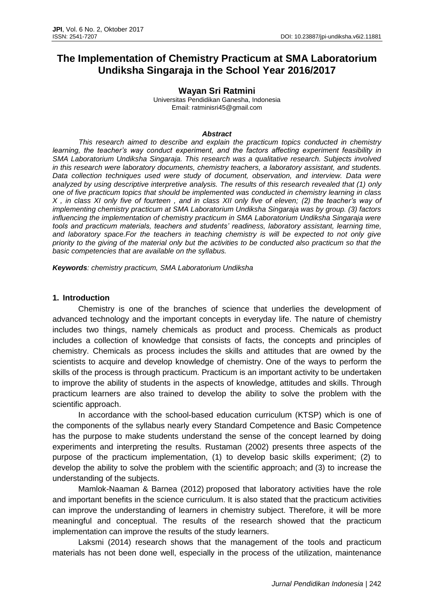# **The Implementation of Chemistry Practicum at SMA Laboratorium Undiksha Singaraja in the School Year 2016/2017**

### **Wayan Sri Ratmini**

Universitas Pendidikan Ganesha, Indonesia Email: ratminisri45@gmail.com

#### *Abstract*

*This research aimed to describe and explain the practicum topics conducted in chemistry learning, the teacher's way conduct experiment, and the factors affecting experiment feasibility in SMA Laboratorium Undiksha Singaraja. This research was a qualitative research. Subjects involved in this research were laboratory documents, chemistry teachers, a laboratory assistant, and students. Data collection techniques used were study of document, observation, and interview. Data were analyzed by using descriptive interpretive analysis. The results of this research revealed that (1) only one of five practicum topics that should be implemented was conducted in chemistry learning in class X , in class XI only five of fourteen , and in class XII only five of eleven; (2) the teacher's way of implementing chemistry practicum at SMA Laboratorium Undiksha Singaraja was by group. (3) factors influencing the implementation of chemistry practicum in SMA Laboratorium Undiksha Singaraja were tools and practicum materials, teachers and students' readiness, laboratory assistant, learning time, and laboratory space.For the teachers in teaching chemistry is will be expected to not only give priority to the giving of the material only but the activities to be conducted also practicum so that the basic competencies that are available on the syllabus.*

*Keywords: chemistry practicum, SMA Laboratorium Undiksha*

#### **1. Introduction**

Chemistry is one of the branches of science that underlies the development of advanced technology and the important concepts in everyday life. The nature of chemistry includes two things, namely chemicals as product and process. Chemicals as product includes a collection of knowledge that consists of facts, the concepts and principles of chemistry. Chemicals as process includes the skills and attitudes that are owned by the scientists to acquire and develop knowledge of chemistry. One of the ways to perform the skills of the process is through practicum. Practicum is an important activity to be undertaken to improve the ability of students in the aspects of knowledge, attitudes and skills. Through practicum learners are also trained to develop the ability to solve the problem with the scientific approach.

In accordance with the school-based education curriculum (KTSP) which is one of the components of the syllabus nearly every Standard Competence and Basic Competence has the purpose to make students understand the sense of the concept learned by doing experiments and interpreting the results. Rustaman (2002) presents three aspects of the purpose of the practicum implementation, (1) to develop basic skills experiment; (2) to develop the ability to solve the problem with the scientific approach; and (3) to increase the understanding of the subjects.

Mamlok-Naaman & Barnea (2012) proposed that laboratory activities have the role and important benefits in the science curriculum. It is also stated that the practicum activities can improve the understanding of learners in chemistry subject. Therefore, it will be more meaningful and conceptual. The results of the research showed that the practicum implementation can improve the results of the study learners.

Laksmi (2014) research shows that the management of the tools and practicum materials has not been done well, especially in the process of the utilization, maintenance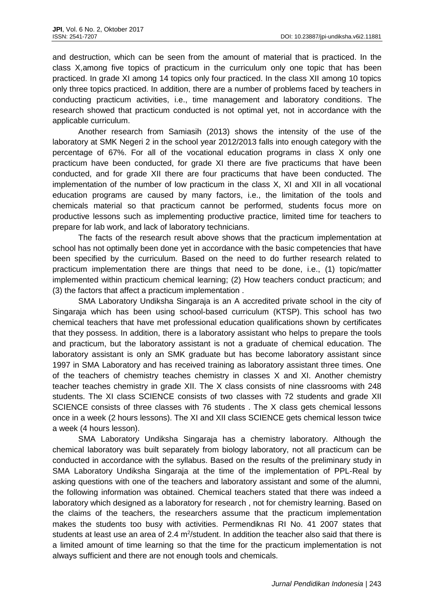and destruction, which can be seen from the amount of material that is practiced. In the class X,among five topics of practicum in the curriculum only one topic that has been practiced. In grade XI among 14 topics only four practiced. In the class XII among 10 topics only three topics practiced. In addition, there are a number of problems faced by teachers in conducting practicum activities, i.e., time management and laboratory conditions. The research showed that practicum conducted is not optimal yet, not in accordance with the applicable curriculum.

Another research from Samiasih (2013) shows the intensity of the use of the laboratory at SMK Negeri 2 in the school year 2012/2013 falls into enough category with the percentage of 67%. For all of the vocational education programs in class X only one practicum have been conducted, for grade XI there are five practicums that have been conducted, and for grade XII there are four practicums that have been conducted. The implementation of the number of low practicum in the class X, XI and XII in all vocational education programs are caused by many factors, i.e., the limitation of the tools and chemicals material so that practicum cannot be performed, students focus more on productive lessons such as implementing productive practice, limited time for teachers to prepare for lab work, and lack of laboratory technicians.

The facts of the research result above shows that the practicum implementation at school has not optimally been done yet in accordance with the basic competencies that have been specified by the curriculum. Based on the need to do further research related to practicum implementation there are things that need to be done, i.e., (1) topic/matter implemented within practicum chemical learning; (2) How teachers conduct practicum; and (3) the factors that affect a practicum implementation .

SMA Laboratory Undiksha Singaraja is an A accredited private school in the city of Singaraja which has been using school-based curriculum (KTSP). This school has two chemical teachers that have met professional education qualifications shown by certificates that they possess. In addition, there is a laboratory assistant who helps to prepare the tools and practicum, but the laboratory assistant is not a graduate of chemical education. The laboratory assistant is only an SMK graduate but has become laboratory assistant since 1997 in SMA Laboratory and has received training as laboratory assistant three times. One of the teachers of chemistry teaches chemistry in classes X and XI. Another chemistry teacher teaches chemistry in grade XII. The X class consists of nine classrooms with 248 students. The XI class SCIENCE consists of two classes with 72 students and grade XII SCIENCE consists of three classes with 76 students . The X class gets chemical lessons once in a week (2 hours lessons). The XI and XII class SCIENCE gets chemical lesson twice a week (4 hours lesson).

SMA Laboratory Undiksha Singaraja has a chemistry laboratory. Although the chemical laboratory was built separately from biology laboratory, not all practicum can be conducted in accordance with the syllabus. Based on the results of the preliminary study in SMA Laboratory Undiksha Singaraja at the time of the implementation of PPL-Real by asking questions with one of the teachers and laboratory assistant and some of the alumni, the following information was obtained. Chemical teachers stated that there was indeed a laboratory which designed as a laboratory for research , not for chemistry learning. Based on the claims of the teachers, the researchers assume that the practicum implementation makes the students too busy with activities. Permendiknas RI No. 41 2007 states that students at least use an area of 2.4  $m^2$ /student. In addition the teacher also said that there is a limited amount of time learning so that the time for the practicum implementation is not always sufficient and there are not enough tools and chemicals.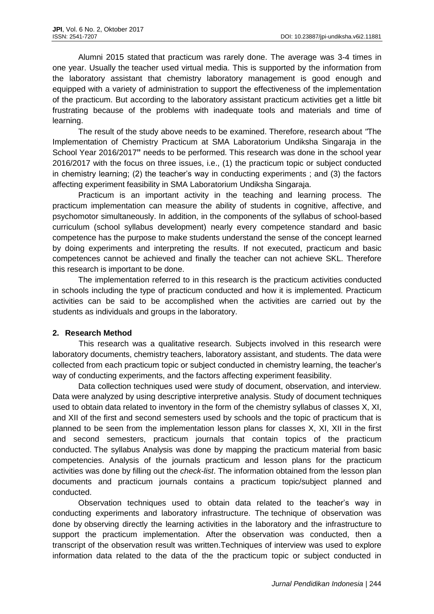Alumni 2015 stated that practicum was rarely done. The average was 3-4 times in one year. Usually the teacher used virtual media. This is supported by the information from the laboratory assistant that chemistry laboratory management is good enough and equipped with a variety of administration to support the effectiveness of the implementation of the practicum. But according to the laboratory assistant practicum activities get a little bit frustrating because of the problems with inadequate tools and materials and time of learning.

The result of the study above needs to be examined. Therefore, research about *"*The Implementation of Chemistry Practicum at SMA Laboratorium Undiksha Singaraja in the School Year 2016/2017**"** needs to be performed. This research was done in the school year 2016/2017 with the focus on three issues, i.e., (1) the practicum topic or subject conducted in chemistry learning; (2) the teacher's way in conducting experiments ; and (3) the factors affecting experiment feasibility in SMA Laboratorium Undiksha Singaraja.

Practicum is an important activity in the teaching and learning process. The practicum implementation can measure the ability of students in cognitive, affective, and psychomotor simultaneously. In addition, in the components of the syllabus of school-based curriculum (school syllabus development) nearly every competence standard and basic competence has the purpose to make students understand the sense of the concept learned by doing experiments and interpreting the results. If not executed, practicum and basic competences cannot be achieved and finally the teacher can not achieve SKL. Therefore this research is important to be done.

The implementation referred to in this research is the practicum activities conducted in schools including the type of practicum conducted and how it is implemented. Practicum activities can be said to be accomplished when the activities are carried out by the students as individuals and groups in the laboratory.

# **2. Research Method**

This research was a qualitative research. Subjects involved in this research were laboratory documents, chemistry teachers, laboratory assistant, and students. The data were collected from each practicum topic or subject conducted in chemistry learning, the teacher's way of conducting experiments, and the factors affecting experiment feasibility.

Data collection techniques used were study of document, observation, and interview. Data were analyzed by using descriptive interpretive analysis. Study of document techniques used to obtain data related to inventory in the form of the chemistry syllabus of classes X, XI, and XII of the first and second semesters used by schools and the topic of practicum that is planned to be seen from the implementation lesson plans for classes X, XI, XII in the first and second semesters, practicum journals that contain topics of the practicum conducted. The syllabus Analysis was done by mapping the practicum material from basic competencies. Analysis of the journals practicum and lesson plans for the practicum activities was done by filling out the *check-list*. The information obtained from the lesson plan documents and practicum journals contains a practicum topic/subject planned and conducted.

Observation techniques used to obtain data related to the teacher's way in conducting experiments and laboratory infrastructure. The technique of observation was done by observing directly the learning activities in the laboratory and the infrastructure to support the practicum implementation. After the observation was conducted, then a transcript of the observation result was written.Techniques of interview was used to explore information data related to the data of the the practicum topic or subject conducted in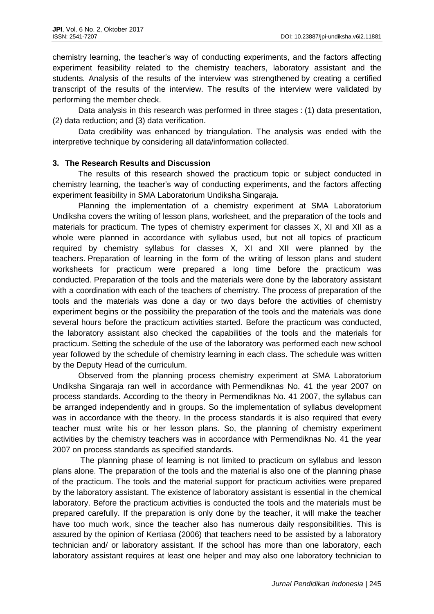chemistry learning, the teacher's way of conducting experiments, and the factors affecting experiment feasibility related to the chemistry teachers, laboratory assistant and the students. Analysis of the results of the interview was strengthened by creating a certified transcript of the results of the interview. The results of the interview were validated by performing the member check.

Data analysis in this research was performed in three stages : (1) data presentation, (2) data reduction; and (3) data verification.

Data credibility was enhanced by triangulation. The analysis was ended with the interpretive technique by considering all data/information collected.

# **3. The Research Results and Discussion**

The results of this research showed the practicum topic or subject conducted in chemistry learning, the teacher's way of conducting experiments, and the factors affecting experiment feasibility in SMA Laboratorium Undiksha Singaraja.

Planning the implementation of a chemistry experiment at SMA Laboratorium Undiksha covers the writing of lesson plans, worksheet, and the preparation of the tools and materials for practicum. The types of chemistry experiment for classes X, XI and XII as a whole were planned in accordance with syllabus used, but not all topics of practicum required by chemistry syllabus for classes X, XI and XII were planned by the teachers. Preparation of learning in the form of the writing of lesson plans and student worksheets for practicum were prepared a long time before the practicum was conducted. Preparation of the tools and the materials were done by the laboratory assistant with a coordination with each of the teachers of chemistry. The process of preparation of the tools and the materials was done a day or two days before the activities of chemistry experiment begins or the possibility the preparation of the tools and the materials was done several hours before the practicum activities started. Before the practicum was conducted, the laboratory assistant also checked the capabilities of the tools and the materials for practicum. Setting the schedule of the use of the laboratory was performed each new school year followed by the schedule of chemistry learning in each class. The schedule was written by the Deputy Head of the curriculum.

Observed from the planning process chemistry experiment at SMA Laboratorium Undiksha Singaraja ran well in accordance with Permendiknas No. 41 the year 2007 on process standards. According to the theory in Permendiknas No. 41 2007, the syllabus can be arranged independently and in groups. So the implementation of syllabus development was in accordance with the theory. In the process standards it is also required that every teacher must write his or her lesson plans. So, the planning of chemistry experiment activities by the chemistry teachers was in accordance with Permendiknas No. 41 the year 2007 on process standards as specified standards.

The planning phase of learning is not limited to practicum on syllabus and lesson plans alone. The preparation of the tools and the material is also one of the planning phase of the practicum. The tools and the material support for practicum activities were prepared by the laboratory assistant. The existence of laboratory assistant is essential in the chemical laboratory. Before the practicum activities is conducted the tools and the materials must be prepared carefully. If the preparation is only done by the teacher, it will make the teacher have too much work, since the teacher also has numerous daily responsibilities. This is assured by the opinion of Kertiasa (2006) that teachers need to be assisted by a laboratory technician and/ or laboratory assistant. If the school has more than one laboratory, each laboratory assistant requires at least one helper and may also one laboratory technician to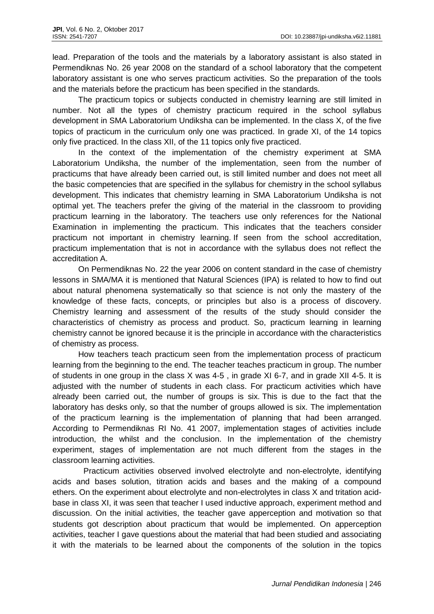lead. Preparation of the tools and the materials by a laboratory assistant is also stated in Permendiknas No. 26 year 2008 on the standard of a school laboratory that the competent laboratory assistant is one who serves practicum activities. So the preparation of the tools and the materials before the practicum has been specified in the standards.

The practicum topics or subjects conducted in chemistry learning are still limited in number. Not all the types of chemistry practicum required in the school syllabus development in SMA Laboratorium Undiksha can be implemented. In the class X, of the five topics of practicum in the curriculum only one was practiced. In grade XI, of the 14 topics only five practiced. In the class XII, of the 11 topics only five practiced.

In the context of the implementation of the chemistry experiment at SMA Laboratorium Undiksha, the number of the implementation, seen from the number of practicums that have already been carried out, is still limited number and does not meet all the basic competencies that are specified in the syllabus for chemistry in the school syllabus development. This indicates that chemistry learning in SMA Laboratorium Undiksha is not optimal yet. The teachers prefer the giving of the material in the classroom to providing practicum learning in the laboratory. The teachers use only references for the National Examination in implementing the practicum. This indicates that the teachers consider practicum not important in chemistry learning. If seen from the school accreditation, practicum implementation that is not in accordance with the syllabus does not reflect the accreditation A.

On Permendiknas No. 22 the year 2006 on content standard in the case of chemistry lessons in SMA/MA it is mentioned that Natural Sciences (IPA) is related to how to find out about natural phenomena systematically so that science is not only the mastery of the knowledge of these facts, concepts, or principles but also is a process of discovery. Chemistry learning and assessment of the results of the study should consider the characteristics of chemistry as process and product. So, practicum learning in learning chemistry cannot be ignored because it is the principle in accordance with the characteristics of chemistry as process.

How teachers teach practicum seen from the implementation process of practicum learning from the beginning to the end. The teacher teaches practicum in group. The number of students in one group in the class X was 4-5 , in grade XI 6-7, and in grade XII 4-5. It is adjusted with the number of students in each class. For practicum activities which have already been carried out, the number of groups is six. This is due to the fact that the laboratory has desks only, so that the number of groups allowed is six. The implementation of the practicum learning is the implementation of planning that had been arranged. According to Permendiknas RI No. 41 2007, implementation stages of activities include introduction, the whilst and the conclusion. In the implementation of the chemistry experiment, stages of implementation are not much different from the stages in the classroom learning activities.

Practicum activities observed involved electrolyte and non-electrolyte, identifying acids and bases solution, titration acids and bases and the making of a compound ethers. On the experiment about electrolyte and non-electrolytes in class X and tritation acidbase in class XI, it was seen that teacher I used inductive approach, experiment method and discussion. On the initial activities, the teacher gave apperception and motivation so that students got description about practicum that would be implemented. On apperception activities, teacher I gave questions about the material that had been studied and associating it with the materials to be learned about the components of the solution in the topics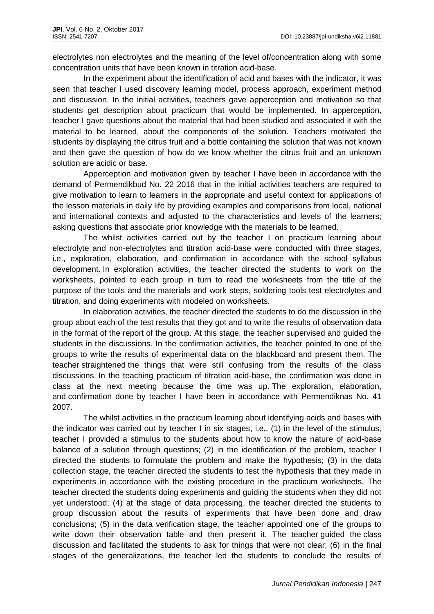electrolytes non electrolytes and the meaning of the level of/concentration along with some concentration units that have been known in titration acid-base.

In the experiment about the identification of acid and bases with the indicator, it was seen that teacher I used discovery learning model, process approach, experiment method and discussion. In the initial activities, teachers gave apperception and motivation so that students get description about practicum that would be implemented. In apperception, teacher I gave questions about the material that had been studied and associated it with the material to be learned, about the components of the solution. Teachers motivated the students by displaying the citrus fruit and a bottle containing the solution that was not known and then gave the question of how do we know whether the citrus fruit and an unknown solution are acidic or base.

Apperception and motivation given by teacher I have been in accordance with the demand of Permendikbud No. 22 2016 that in the initial activities teachers are required to give motivation to learn to learners in the appropriate and useful context for applications of the lesson materials in daily life by providing examples and comparisons from local, national and international contexts and adjusted to the characteristics and levels of the learners; asking questions that associate prior knowledge with the materials to be learned.

The whilst activities carried out by the teacher I on practicum learning about electrolyte and non-electrolytes and titration acid-base were conducted with three stages, i.e., exploration, elaboration, and confirmation in accordance with the school syllabus development. In exploration activities, the teacher directed the students to work on the worksheets, pointed to each group in turn to read the worksheets from the title of the purpose of the tools and the materials and work steps, soldering tools test electrolytes and titration, and doing experiments with modeled on worksheets.

In elaboration activities, the teacher directed the students to do the discussion in the group about each of the test results that they got and to write the results of observation data in the format of the report of the group. At this stage, the teacher supervised and guided the students in the discussions. In the confirmation activities, the teacher pointed to one of the groups to write the results of experimental data on the blackboard and present them. The teacher straightened the things that were still confusing from the results of the class discussions. In the teaching practicum of titration acid-base, the confirmation was done in class at the next meeting because the time was up. The exploration, elaboration, and confirmation done by teacher I have been in accordance with Permendiknas No. 41 2007.

The whilst activities in the practicum learning about identifying acids and bases with the indicator was carried out by teacher I in six stages, i.e., (1) in the level of the stimulus, teacher I provided a stimulus to the students about how to know the nature of acid-base balance of a solution through questions; (2) in the identification of the problem, teacher I directed the students to formulate the problem and make the hypothesis; (3) in the data collection stage, the teacher directed the students to test the hypothesis that they made in experiments in accordance with the existing procedure in the practicum worksheets. The teacher directed the students doing experiments and guiding the students when they did not yet understood; (4) at the stage of data processing, the teacher directed the students to group discussion about the results of experiments that have been done and draw conclusions; (5) in the data verification stage, the teacher appointed one of the groups to write down their observation table and then present it. The teacher guided the class discussion and facilitated the students to ask for things that were not clear; (6) in the final stages of the generalizations, the teacher led the students to conclude the results of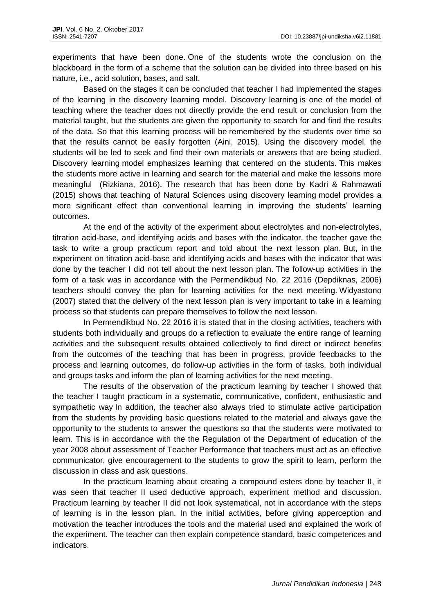experiments that have been done. One of the students wrote the conclusion on the blackboard in the form of a scheme that the solution can be divided into three based on his nature, i.e., acid solution, bases, and salt.

Based on the stages it can be concluded that teacher I had implemented the stages of the learning in the discovery learning model*.* Discovery learning is one of the model of teaching where the teacher does not directly provide the end result or conclusion from the material taught, but the students are given the opportunity to search for and find the results of the data. So that this learning process will be remembered by the students over time so that the results cannot be easily forgotten (Aini, 2015). Using the discovery model, the students will be led to seek and find their own materials or answers that are being studied. Discovery learning model emphasizes learning that centered on the students. This makes the students more active in learning and search for the material and make the lessons more meaningful (Rizkiana, 2016). The research that has been done by Kadri & Rahmawati (2015) shows that teaching of Natural Sciences using discovery learning model provides a more significant effect than conventional learning in improving the students' learning outcomes.

At the end of the activity of the experiment about electrolytes and non-electrolytes, titration acid-base, and identifying acids and bases with the indicator, the teacher gave the task to write a group practicum report and told about the next lesson plan. But, in the experiment on titration acid-base and identifying acids and bases with the indicator that was done by the teacher I did not tell about the next lesson plan. The follow-up activities in the form of a task was in accordance with the Permendikbud No. 22 2016 (Depdiknas, 2006) teachers should convey the plan for learning activities for the next meeting. Widyastono (2007) stated that the delivery of the next lesson plan is very important to take in a learning process so that students can prepare themselves to follow the next lesson.

In Permendikbud No. 22 2016 it is stated that in the closing activities, teachers with students both individually and groups do a reflection to evaluate the entire range of learning activities and the subsequent results obtained collectively to find direct or indirect benefits from the outcomes of the teaching that has been in progress, provide feedbacks to the process and learning outcomes, do follow-up activities in the form of tasks, both individual and groups tasks and inform the plan of learning activities for the next meeting.

The results of the observation of the practicum learning by teacher I showed that the teacher I taught practicum in a systematic, communicative, confident, enthusiastic and sympathetic way In addition, the teacher also always tried to stimulate active participation from the students by providing basic questions related to the material and always gave the opportunity to the students to answer the questions so that the students were motivated to learn. This is in accordance with the the Regulation of the Department of education of the year 2008 about assessment of Teacher Performance that teachers must act as an effective communicator, give encouragement to the students to grow the spirit to learn, perform the discussion in class and ask questions.

In the practicum learning about creating a compound esters done by teacher II, it was seen that teacher II used deductive approach, experiment method and discussion. Practicum learning by teacher II did not look systematical, not in accordance with the steps of learning is in the lesson plan. In the initial activities, before giving apperception and motivation the teacher introduces the tools and the material used and explained the work of the experiment. The teacher can then explain competence standard, basic competences and indicators.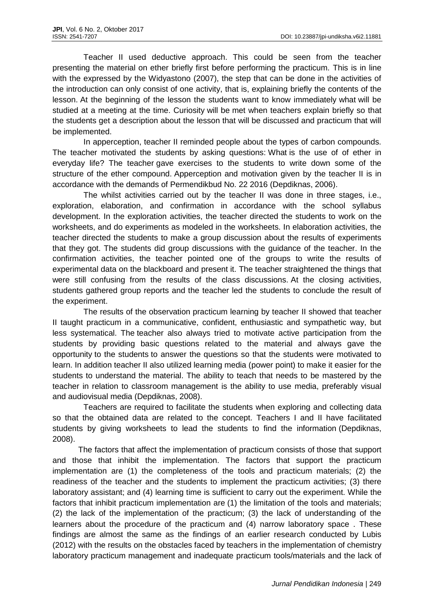Teacher II used deductive approach. This could be seen from the teacher presenting the material on ether briefly first before performing the practicum. This is in line with the expressed by the Widyastono (2007), the step that can be done in the activities of the introduction can only consist of one activity, that is, explaining briefly the contents of the lesson. At the beginning of the lesson the students want to know immediately what will be studied at a meeting at the time. Curiosity will be met when teachers explain briefly so that the students get a description about the lesson that will be discussed and practicum that will be implemented.

In apperception, teacher II reminded people about the types of carbon compounds. The teacher motivated the students by asking questions: What is the use of of ether in everyday life? The teacher gave exercises to the students to write down some of the structure of the ether compound. Apperception and motivation given by the teacher II is in accordance with the demands of Permendikbud No. 22 2016 (Depdiknas, 2006).

The whilst activities carried out by the teacher II was done in three stages, i.e., exploration, elaboration, and confirmation in accordance with the school syllabus development. In the exploration activities, the teacher directed the students to work on the worksheets, and do experiments as modeled in the worksheets. In elaboration activities, the teacher directed the students to make a group discussion about the results of experiments that they got. The students did group discussions with the guidance of the teacher. In the confirmation activities, the teacher pointed one of the groups to write the results of experimental data on the blackboard and present it. The teacher straightened the things that were still confusing from the results of the class discussions. At the closing activities, students gathered group reports and the teacher led the students to conclude the result of the experiment.

The results of the observation practicum learning by teacher II showed that teacher II taught practicum in a communicative, confident, enthusiastic and sympathetic way, but less systematical. The teacher also always tried to motivate active participation from the students by providing basic questions related to the material and always gave the opportunity to the students to answer the questions so that the students were motivated to learn. In addition teacher II also utilized learning media (power point) to make it easier for the students to understand the material. The ability to teach that needs to be mastered by the teacher in relation to classroom management is the ability to use media, preferably visual and audiovisual media (Depdiknas, 2008).

Teachers are required to facilitate the students when exploring and collecting data so that the obtained data are related to the concept. Teachers I and II have facilitated students by giving worksheets to lead the students to find the information (Depdiknas, 2008).

The factors that affect the implementation of practicum consists of those that support and those that inhibit the implementation. The factors that support the practicum implementation are (1) the completeness of the tools and practicum materials; (2) the readiness of the teacher and the students to implement the practicum activities; (3) there laboratory assistant; and (4) learning time is sufficient to carry out the experiment. While the factors that inhibit practicum implementation are (1) the limitation of the tools and materials; (2) the lack of the implementation of the practicum; (3) the lack of understanding of the learners about the procedure of the practicum and (4) narrow laboratory space . These findings are almost the same as the findings of an earlier research conducted by Lubis (2012) with the results on the obstacles faced by teachers in the implementation of chemistry laboratory practicum management and inadequate practicum tools/materials and the lack of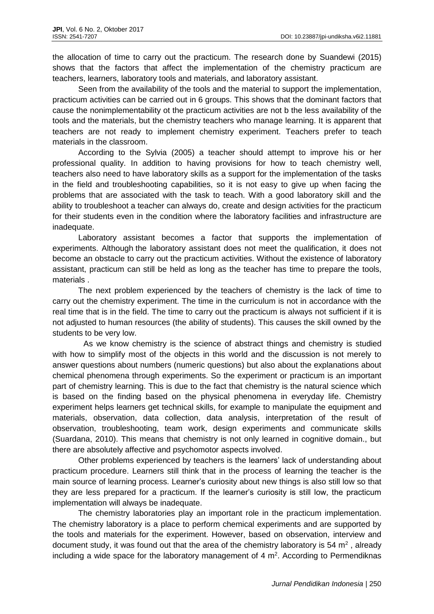the allocation of time to carry out the practicum. The research done by Suandewi (2015) shows that the factors that affect the implementation of the chemistry practicum are teachers, learners, laboratory tools and materials, and laboratory assistant.

Seen from the availability of the tools and the material to support the implementation, practicum activities can be carried out in 6 groups. This shows that the dominant factors that cause the nonimplementability ot the practicum activities are not b the less availability of the tools and the materials, but the chemistry teachers who manage learning. It is apparent that teachers are not ready to implement chemistry experiment. Teachers prefer to teach materials in the classroom.

According to the Sylvia (2005) a teacher should attempt to improve his or her professional quality. In addition to having provisions for how to teach chemistry well, teachers also need to have laboratory skills as a support for the implementation of the tasks in the field and troubleshooting capabilities, so it is not easy to give up when facing the problems that are associated with the task to teach. With a good laboratory skill and the ability to troubleshoot a teacher can always do, create and design activities for the practicum for their students even in the condition where the laboratory facilities and infrastructure are inadequate.

Laboratory assistant becomes a factor that supports the implementation of experiments. Although the laboratory assistant does not meet the qualification, it does not become an obstacle to carry out the practicum activities. Without the existence of laboratory assistant, practicum can still be held as long as the teacher has time to prepare the tools, materials .

The next problem experienced by the teachers of chemistry is the lack of time to carry out the chemistry experiment. The time in the curriculum is not in accordance with the real time that is in the field. The time to carry out the practicum is always not sufficient if it is not adjusted to human resources (the ability of students). This causes the skill owned by the students to be very low.

As we know chemistry is the science of abstract things and chemistry is studied with how to simplify most of the objects in this world and the discussion is not merely to answer questions about numbers (numeric questions) but also about the explanations about chemical phenomena through experiments. So the experiment or practicum is an important part of chemistry learning. This is due to the fact that chemistry is the natural science which is based on the finding based on the physical phenomena in everyday life. Chemistry experiment helps learners get technical skills, for example to manipulate the equipment and materials, observation, data collection, data analysis, interpretation of the result of observation, troubleshooting, team work, design experiments and communicate skills (Suardana, 2010). This means that chemistry is not only learned in cognitive domain., but there are absolutely affective and psychomotor aspects involved.

Other problems experienced by teachers is the learners' lack of understanding about practicum procedure. Learners still think that in the process of learning the teacher is the main source of learning process. Learner's curiosity about new things is also still low so that they are less prepared for a practicum. If the learner's curiosity is still low, the practicum implementation will always be inadequate.

The chemistry laboratories play an important role in the practicum implementation. The chemistry laboratory is a place to perform chemical experiments and are supported by the tools and materials for the experiment. However, based on observation, interview and document study, it was found out that the area of the chemistry laboratory is 54  $m<sup>2</sup>$ , already including a wide space for the laboratory management of  $4 \text{ m}^2$ . According to Permendiknas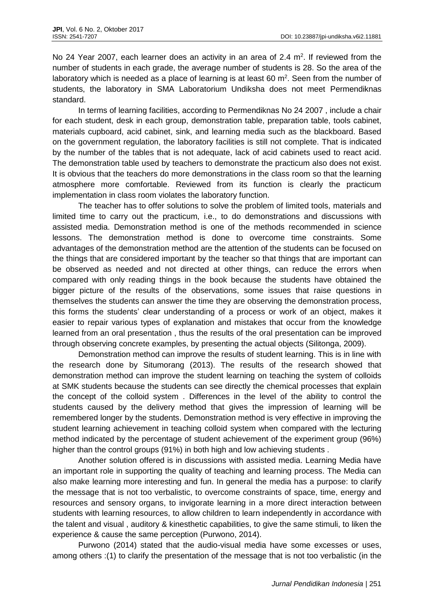No 24 Year 2007, each learner does an activity in an area of 2.4  $m<sup>2</sup>$ . If reviewed from the number of students in each grade, the average number of students is 28. So the area of the laboratory which is needed as a place of learning is at least 60  $m<sup>2</sup>$ . Seen from the number of students, the laboratory in SMA Laboratorium Undiksha does not meet Permendiknas standard.

In terms of learning facilities, according to Permendiknas No 24 2007 , include a chair for each student, desk in each group, demonstration table, preparation table, tools cabinet, materials cupboard, acid cabinet, sink, and learning media such as the blackboard. Based on the government regulation, the laboratory facilities is still not complete. That is indicated by the number of the tables that is not adequate, lack of acid cabinets used to react acid. The demonstration table used by teachers to demonstrate the practicum also does not exist. It is obvious that the teachers do more demonstrations in the class room so that the learning atmosphere more comfortable. Reviewed from its function is clearly the practicum implementation in class room violates the laboratory function.

The teacher has to offer solutions to solve the problem of limited tools, materials and limited time to carry out the practicum, i.e., to do demonstrations and discussions with assisted media. Demonstration method is one of the methods recommended in science lessons. The demonstration method is done to overcome time constraints. Some advantages of the demonstration method are the attention of the students can be focused on the things that are considered important by the teacher so that things that are important can be observed as needed and not directed at other things, can reduce the errors when compared with only reading things in the book because the students have obtained the bigger picture of the results of the observations, some issues that raise questions in themselves the students can answer the time they are observing the demonstration process, this forms the students' clear understanding of a process or work of an object, makes it easier to repair various types of explanation and mistakes that occur from the knowledge learned from an oral presentation , thus the results of the oral presentation can be improved through observing concrete examples, by presenting the actual objects (Silitonga, 2009).

Demonstration method can improve the results of student learning. This is in line with the research done by Situmorang (2013). The results of the research showed that demonstration method can improve the student learning on teaching the system of colloids at SMK students because the students can see directly the chemical processes that explain the concept of the colloid system . Differences in the level of the ability to control the students caused by the delivery method that gives the impression of learning will be remembered longer by the students. Demonstration method is very effective in improving the student learning achievement in teaching colloid system when compared with the lecturing method indicated by the percentage of student achievement of the experiment group (96%) higher than the control groups (91%) in both high and low achieving students .

Another solution offered is in discussions with assisted media. Learning Media have an important role in supporting the quality of teaching and learning process. The Media can also make learning more interesting and fun. In general the media has a purpose: to clarify the message that is not too verbalistic, to overcome constraints of space, time, energy and resources and sensory organs, to invigorate learning in a more direct interaction between students with learning resources, to allow children to learn independently in accordance with the talent and visual , auditory & kinesthetic capabilities, to give the same stimuli, to liken the experience & cause the same perception (Purwono, 2014).

Purwono (2014) stated that the audio-visual media have some excesses or uses, among others :(1) to clarify the presentation of the message that is not too verbalistic (in the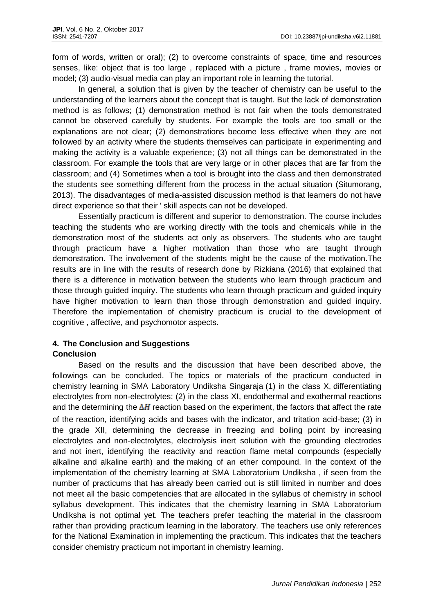form of words, written or oral); (2) to overcome constraints of space, time and resources senses, like: object that is too large , replaced with a picture , frame movies, movies or model; (3) audio-visual media can play an important role in learning the tutorial.

In general, a solution that is given by the teacher of chemistry can be useful to the understanding of the learners about the concept that is taught. But the lack of demonstration method is as follows; (1) demonstration method is not fair when the tools demonstrated cannot be observed carefully by students. For example the tools are too small or the explanations are not clear; (2) demonstrations become less effective when they are not followed by an activity where the students themselves can participate in experimenting and making the activity is a valuable experience; (3) not all things can be demonstrated in the classroom. For example the tools that are very large or in other places that are far from the classroom; and (4) Sometimes when a tool is brought into the class and then demonstrated the students see something different from the process in the actual situation (Situmorang, 2013). The disadvantages of media-assisted discussion method is that learners do not have direct experience so that their ' skill aspects can not be developed.

Essentially practicum is different and superior to demonstration. The course includes teaching the students who are working directly with the tools and chemicals while in the demonstration most of the students act only as observers. The students who are taught through practicum have a higher motivation than those who are taught through demonstration. The involvement of the students might be the cause of the motivation.The results are in line with the results of research done by Rizkiana (2016) that explained that there is a difference in motivation between the students who learn through practicum and those through guided inquiry. The students who learn through practicum and guided inquiry have higher motivation to learn than those through demonstration and guided inquiry. Therefore the implementation of chemistry practicum is crucial to the development of cognitive , affective, and psychomotor aspects.

# **4. The Conclusion and Suggestions Conclusion**

Based on the results and the discussion that have been described above, the followings can be concluded. The topics or materials of the practicum conducted in chemistry learning in SMA Laboratory Undiksha Singaraja (1) in the class X, differentiating electrolytes from non-electrolytes; (2) in the class XI, endothermal and exothermal reactions and the determining the  $\Delta H$  reaction based on the experiment, the factors that affect the rate of the reaction, identifying acids and bases with the indicator, and tritation acid-base; (3) in the grade XII, determining the decrease in freezing and boiling point by increasing electrolytes and non-electrolytes, electrolysis inert solution with the grounding electrodes and not inert, identifying the reactivity and reaction flame metal compounds (especially alkaline and alkaline earth) and the making of an ether compound. In the context of the implementation of the chemistry learning at SMA Laboratorium Undiksha , if seen from the number of practicums that has already been carried out is still limited in number and does not meet all the basic competencies that are allocated in the syllabus of chemistry in school syllabus development. This indicates that the chemistry learning in SMA Laboratorium Undiksha is not optimal yet. The teachers prefer teaching the material in the classroom rather than providing practicum learning in the laboratory. The teachers use only references for the National Examination in implementing the practicum. This indicates that the teachers consider chemistry practicum not important in chemistry learning.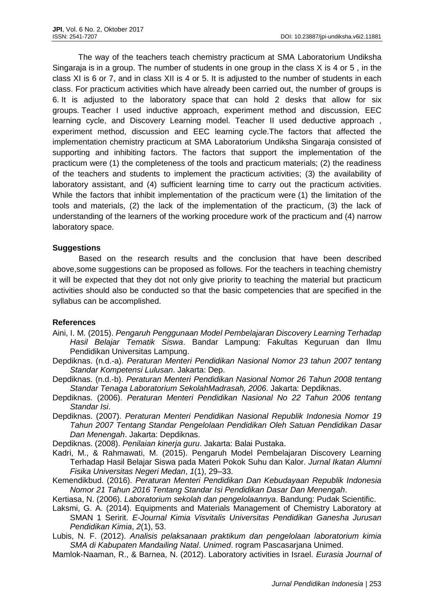The way of the teachers teach chemistry practicum at SMA Laboratorium Undiksha Singaraja is in a group. The number of students in one group in the class X is 4 or 5 , in the class XI is 6 or 7, and in class XII is 4 or 5. It is adjusted to the number of students in each class. For practicum activities which have already been carried out, the number of groups is 6. It is adjusted to the laboratory space that can hold 2 desks that allow for six groups. Teacher I used inductive approach, experiment method and discussion, EEC learning cycle, and Discovery Learning model. Teacher II used deductive approach , experiment method, discussion and EEC learning cycle.The factors that affected the implementation chemistry practicum at SMA Laboratorium Undiksha Singaraja consisted of supporting and inhibiting factors. The factors that support the implementation of the practicum were (1) the completeness of the tools and practicum materials; (2) the readiness of the teachers and students to implement the practicum activities; (3) the availability of laboratory assistant, and (4) sufficient learning time to carry out the practicum activities. While the factors that inhibit implementation of the practicum were (1) the limitation of the tools and materials, (2) the lack of the implementation of the practicum, (3) the lack of understanding of the learners of the working procedure work of the practicum and (4) narrow laboratory space.

## **Suggestions**

Based on the research results and the conclusion that have been described above,some suggestions can be proposed as follows. For the teachers in teaching chemistry it will be expected that they dot not only give priority to teaching the material but practicum activities should also be conducted so that the basic competencies that are specified in the syllabus can be accomplished.

#### **References**

- Aini, I. M. (2015). *Pengaruh Penggunaan Model Pembelajaran Discovery Learning Terhadap Hasil Belajar Tematik Siswa*. Bandar Lampung: Fakultas Keguruan dan Ilmu Pendidikan Universitas Lampung.
- Depdiknas. (n.d.-a). *Peraturan Menteri Pendidikan Nasional Nomor 23 tahun 2007 tentang Standar Kompetensi Lulusan*. Jakarta: Dep.
- Depdiknas. (n.d.-b). *Peraturan Menteri Pendidikan Nasional Nomor 26 Tahun 2008 tentang Standar Tenaga Laboratorium SekolahMadrasah, 2006*. Jakarta: Depdiknas.
- Depdiknas. (2006). *Peraturan Menteri Pendidikan Nasional No 22 Tahun 2006 tentang Standar Isi*.
- Depdiknas. (2007). *Peraturan Menteri Pendidikan Nasional Republik Indonesia Nomor 19 Tahun 2007 Tentang Standar Pengelolaan Pendidikan Oleh Satuan Pendidikan Dasar Dan Menengah*. Jakarta: Depdiknas.
- Depdiknas. (2008). *Penilaian kinerja guru*. Jakarta: Balai Pustaka.
- Kadri, M., & Rahmawati, M. (2015). Pengaruh Model Pembelajaran Discovery Learning Terhadap Hasil Belajar Siswa pada Materi Pokok Suhu dan Kalor. *Jurnal Ikatan Alumni Fisika Universitas Negeri Medan*, *1*(1), 29–33.
- Kemendikbud. (2016). *Peraturan Menteri Pendidikan Dan Kebudayaan Republik Indonesia Nomor 21 Tahun 2016 Tentang Standar Isi Pendidikan Dasar Dan Menengah*.
- Kertiasa, N. (2006). *Laboratorium sekolah dan pengelolaannya*. Bandung: Pudak Scientific.
- Laksmi, G. A. (2014). Equipments and Materials Management of Chemistry Laboratory at SMAN 1 Seririt. *E-Journal Kimia Visvitalis Universitas Pendidikan Ganesha Jurusan Pendidikan Kimia*, *2*(1), 53.
- Lubis, N. F. (2012). *Analisis pelaksanaan praktikum dan pengelolaan laboratorium kimia SMA di Kabupaten Mandailing Natal*. *Unimed*. rogram Pascasarjana Unimed.
- Mamlok-Naaman, R., & Barnea, N. (2012). Laboratory activities in Israel. *Eurasia Journal of*